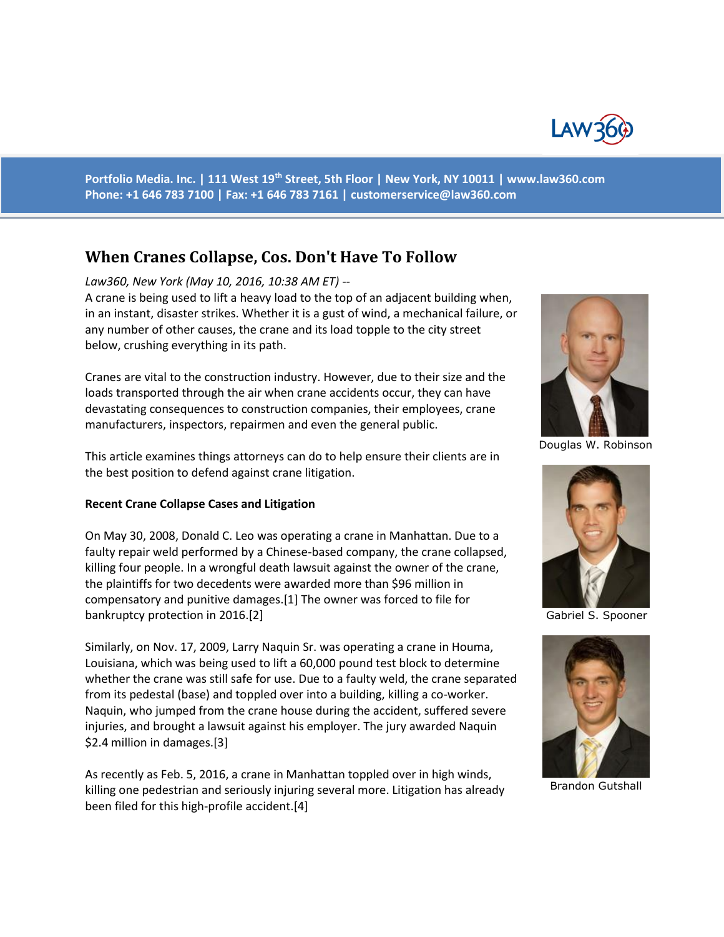

**Portfolio Media. Inc. | 111 West 19th Street, 5th Floor | New York, NY 10011 | www.law360.com Phone: +1 646 783 7100 | Fax: +1 646 783 7161 | [customerservice@law360.com](mailto:customerservice@law360.com)**

# **When Cranes Collapse, Cos. Don't Have To Follow**

*Law360, New York (May 10, 2016, 10:38 AM ET) --*

A crane is being used to lift a heavy load to the top of an adjacent building when, in an instant, disaster strikes. Whether it is a gust of wind, a mechanical failure, or any number of other causes, the crane and its load topple to the city street below, crushing everything in its path.

Cranes are vital to the construction industry. However, due to their size and the loads transported through the air when crane accidents occur, they can have devastating consequences to construction companies, their employees, crane manufacturers, inspectors, repairmen and even the general public.

This article examines things attorneys can do to help ensure their clients are in the best position to defend against crane litigation.

### **Recent Crane Collapse Cases and Litigation**

On May 30, 2008, Donald C. Leo was operating a crane in Manhattan. Due to a faulty repair weld performed by a Chinese-based company, the crane collapsed, killing four people. In a wrongful death lawsuit against the owner of the crane, the plaintiffs for two decedents were awarded more than \$96 million in compensatory and punitive damages.[1] The owner was forced to file for bankruptcy protection in 2016.[2]

Similarly, on Nov. 17, 2009, Larry Naquin Sr. was operating a crane in Houma, Louisiana, which was being used to lift a 60,000 pound test block to determine whether the crane was still safe for use. Due to a faulty weld, the crane separated from its pedestal (base) and toppled over into a building, killing a co-worker. Naquin, who jumped from the crane house during the accident, suffered severe injuries, and brought a lawsuit against his employer. The jury awarded Naquin \$2.4 million in damages.[3]

As recently as Feb. 5, 2016, a crane in Manhattan toppled over in high winds, killing one pedestrian and seriously injuring several more. Litigation has already been filed for this high-profile accident.[4]



Douglas W. Robinson



Gabriel S. Spooner



Brandon Gutshall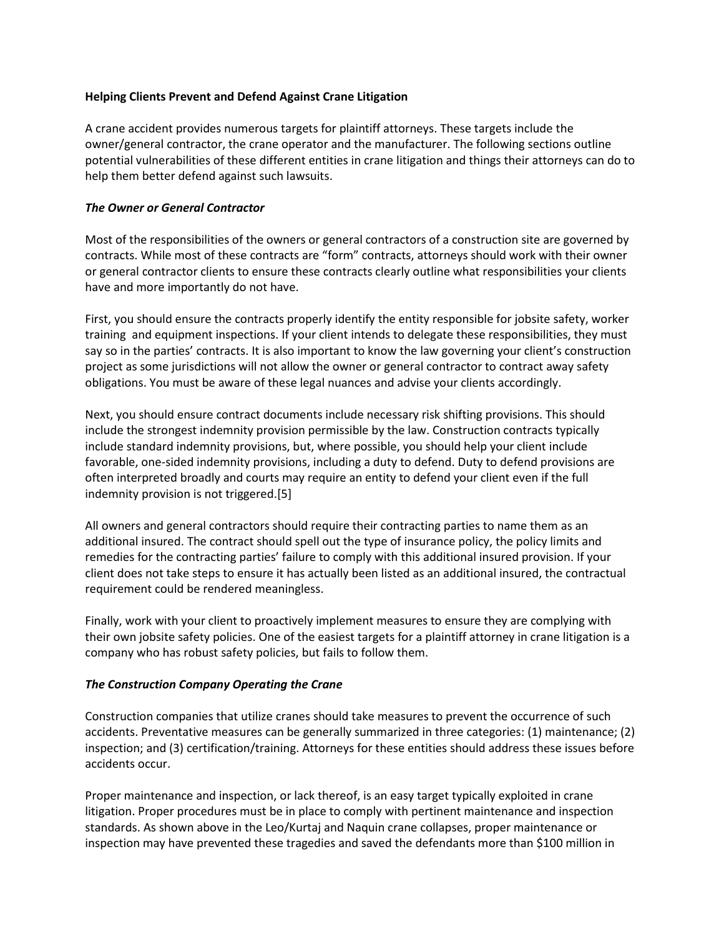# **Helping Clients Prevent and Defend Against Crane Litigation**

A crane accident provides numerous targets for plaintiff attorneys. These targets include the owner/general contractor, the crane operator and the manufacturer. The following sections outline potential vulnerabilities of these different entities in crane litigation and things their attorneys can do to help them better defend against such lawsuits.

## *The Owner or General Contractor*

Most of the responsibilities of the owners or general contractors of a construction site are governed by contracts. While most of these contracts are "form" contracts, attorneys should work with their owner or general contractor clients to ensure these contracts clearly outline what responsibilities your clients have and more importantly do not have.

First, you should ensure the contracts properly identify the entity responsible for jobsite safety, worker training and equipment inspections. If your client intends to delegate these responsibilities, they must say so in the parties' contracts. It is also important to know the law governing your client's construction project as some jurisdictions will not allow the owner or general contractor to contract away safety obligations. You must be aware of these legal nuances and advise your clients accordingly.

Next, you should ensure contract documents include necessary risk shifting provisions. This should include the strongest indemnity provision permissible by the law. Construction contracts typically include standard indemnity provisions, but, where possible, you should help your client include favorable, one-sided indemnity provisions, including a duty to defend. Duty to defend provisions are often interpreted broadly and courts may require an entity to defend your client even if the full indemnity provision is not triggered.[5]

All owners and general contractors should require their contracting parties to name them as an additional insured. The contract should spell out the type of insurance policy, the policy limits and remedies for the contracting parties' failure to comply with this additional insured provision. If your client does not take steps to ensure it has actually been listed as an additional insured, the contractual requirement could be rendered meaningless.

Finally, work with your client to proactively implement measures to ensure they are complying with their own jobsite safety policies. One of the easiest targets for a plaintiff attorney in crane litigation is a company who has robust safety policies, but fails to follow them.

### *The Construction Company Operating the Crane*

Construction companies that utilize cranes should take measures to prevent the occurrence of such accidents. Preventative measures can be generally summarized in three categories: (1) maintenance; (2) inspection; and (3) certification/training. Attorneys for these entities should address these issues before accidents occur.

Proper maintenance and inspection, or lack thereof, is an easy target typically exploited in crane litigation. Proper procedures must be in place to comply with pertinent maintenance and inspection standards. As shown above in the Leo/Kurtaj and Naquin crane collapses, proper maintenance or inspection may have prevented these tragedies and saved the defendants more than \$100 million in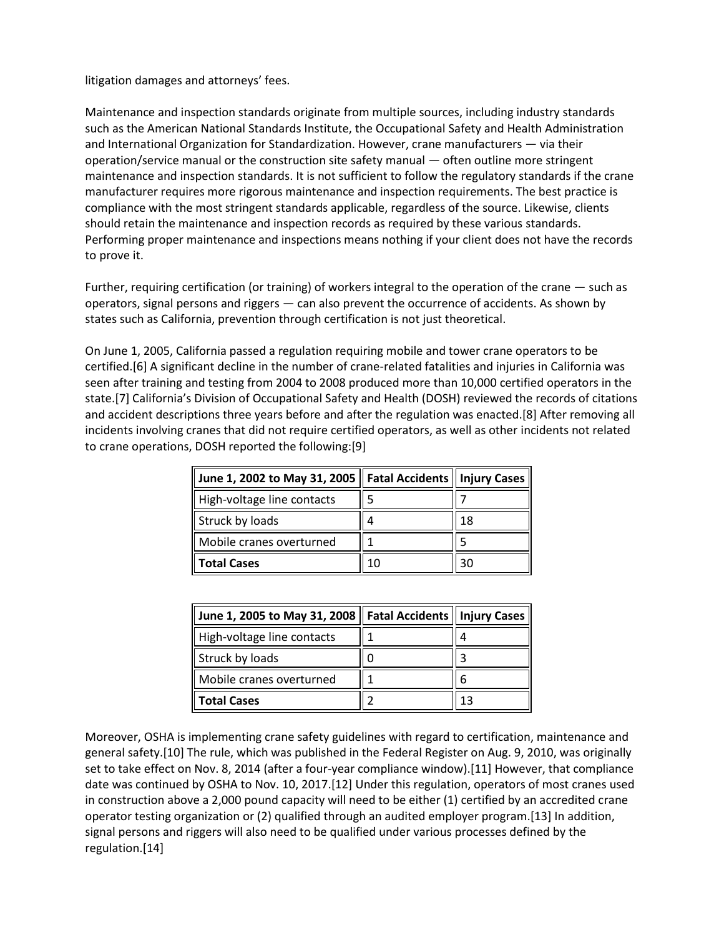litigation damages and attorneys' fees.

Maintenance and inspection standards originate from multiple sources, including industry standards such as the American National Standards Institute, the Occupational Safety and Health Administration and International Organization for Standardization. However, crane manufacturers — via their operation/service manual or the construction site safety manual — often outline more stringent maintenance and inspection standards. It is not sufficient to follow the regulatory standards if the crane manufacturer requires more rigorous maintenance and inspection requirements. The best practice is compliance with the most stringent standards applicable, regardless of the source. Likewise, clients should retain the maintenance and inspection records as required by these various standards. Performing proper maintenance and inspections means nothing if your client does not have the records to prove it.

Further, requiring certification (or training) of workers integral to the operation of the crane — such as operators, signal persons and riggers — can also prevent the occurrence of accidents. As shown by states such as California, prevention through certification is not just theoretical.

On June 1, 2005, California passed a regulation requiring mobile and tower crane operators to be certified.[6] A significant decline in the number of crane-related fatalities and injuries in California was seen after training and testing from 2004 to 2008 produced more than 10,000 certified operators in the state.[7] California's Division of Occupational Safety and Health (DOSH) reviewed the records of citations and accident descriptions three years before and after the regulation was enacted.[8] After removing all incidents involving cranes that did not require certified operators, as well as other incidents not related to crane operations, DOSH reported the following:[9]

| June 1, 2002 to May 31, 2005   Fatal Accidents   Injury Cases |    |    |
|---------------------------------------------------------------|----|----|
| High-voltage line contacts                                    |    |    |
| <b>Struck by loads</b>                                        |    | 18 |
| Mobile cranes overturned                                      |    |    |
| <b>Total Cases</b>                                            | 10 | 30 |

| $\parallel$ June 1, 2005 to May 31, 2008 $\parallel$ Fatal Accidents $\parallel$ Injury Cases $\parallel$ |    |
|-----------------------------------------------------------------------------------------------------------|----|
| High-voltage line contacts                                                                                |    |
| Struck by loads                                                                                           |    |
| Mobile cranes overturned                                                                                  | 6  |
| <b>Total Cases</b>                                                                                        | 13 |

Moreover, OSHA is implementing crane safety guidelines with regard to certification, maintenance and general safety.[10] The rule, which was published in the Federal Register on Aug. 9, 2010, was originally set to take effect on Nov. 8, 2014 (after a four-year compliance window).[11] However, that compliance date was continued by OSHA to Nov. 10, 2017.[12] Under this regulation, operators of most cranes used in construction above a 2,000 pound capacity will need to be either (1) certified by an accredited crane operator testing organization or (2) qualified through an audited employer program.[13] In addition, signal persons and riggers will also need to be qualified under various processes defined by the regulation.[14]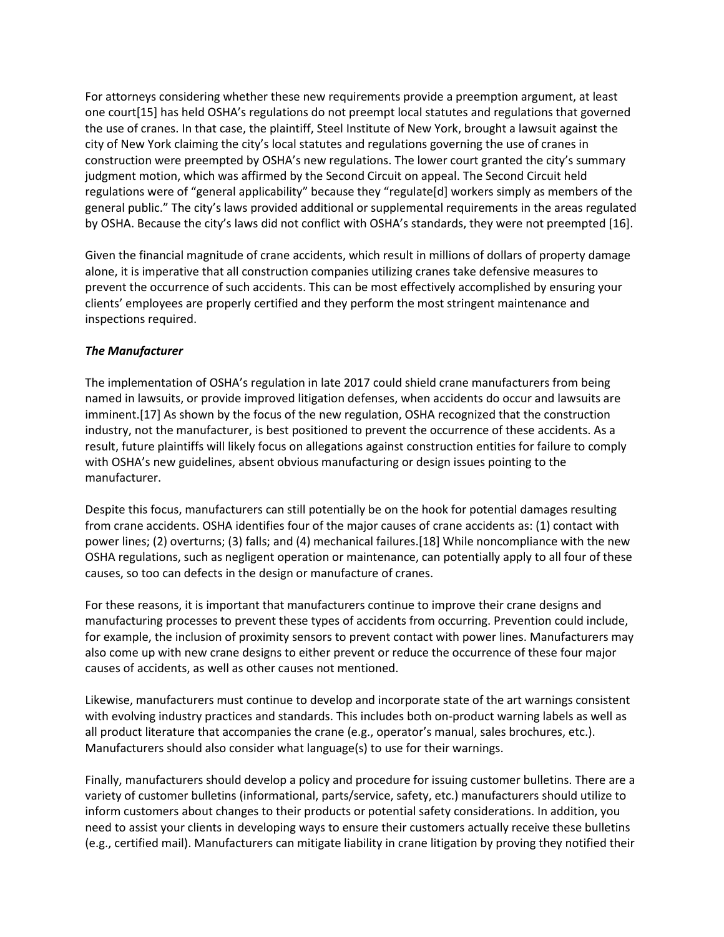For attorneys considering whether these new requirements provide a preemption argument, at least one court[15] has held OSHA's regulations do not preempt local statutes and regulations that governed the use of cranes. In that case, the plaintiff, Steel Institute of New York, brought a lawsuit against the city of New York claiming the city's local statutes and regulations governing the use of cranes in construction were preempted by OSHA's new regulations. The lower court granted the city's summary judgment motion, which was affirmed by the Second Circuit on appeal. The Second Circuit held regulations were of "general applicability" because they "regulate[d] workers simply as members of the general public." The city's laws provided additional or supplemental requirements in the areas regulated by OSHA. Because the city's laws did not conflict with OSHA's standards, they were not preempted [16].

Given the financial magnitude of crane accidents, which result in millions of dollars of property damage alone, it is imperative that all construction companies utilizing cranes take defensive measures to prevent the occurrence of such accidents. This can be most effectively accomplished by ensuring your clients' employees are properly certified and they perform the most stringent maintenance and inspections required.

# *The Manufacturer*

The implementation of OSHA's regulation in late 2017 could shield crane manufacturers from being named in lawsuits, or provide improved litigation defenses, when accidents do occur and lawsuits are imminent.[17] As shown by the focus of the new regulation, OSHA recognized that the construction industry, not the manufacturer, is best positioned to prevent the occurrence of these accidents. As a result, future plaintiffs will likely focus on allegations against construction entities for failure to comply with OSHA's new guidelines, absent obvious manufacturing or design issues pointing to the manufacturer.

Despite this focus, manufacturers can still potentially be on the hook for potential damages resulting from crane accidents. OSHA identifies four of the major causes of crane accidents as: (1) contact with power lines; (2) overturns; (3) falls; and (4) mechanical failures.[18] While noncompliance with the new OSHA regulations, such as negligent operation or maintenance, can potentially apply to all four of these causes, so too can defects in the design or manufacture of cranes.

For these reasons, it is important that manufacturers continue to improve their crane designs and manufacturing processes to prevent these types of accidents from occurring. Prevention could include, for example, the inclusion of proximity sensors to prevent contact with power lines. Manufacturers may also come up with new crane designs to either prevent or reduce the occurrence of these four major causes of accidents, as well as other causes not mentioned.

Likewise, manufacturers must continue to develop and incorporate state of the art warnings consistent with evolving industry practices and standards. This includes both on-product warning labels as well as all product literature that accompanies the crane (e.g., operator's manual, sales brochures, etc.). Manufacturers should also consider what language(s) to use for their warnings.

Finally, manufacturers should develop a policy and procedure for issuing customer bulletins. There are a variety of customer bulletins (informational, parts/service, safety, etc.) manufacturers should utilize to inform customers about changes to their products or potential safety considerations. In addition, you need to assist your clients in developing ways to ensure their customers actually receive these bulletins (e.g., certified mail). Manufacturers can mitigate liability in crane litigation by proving they notified their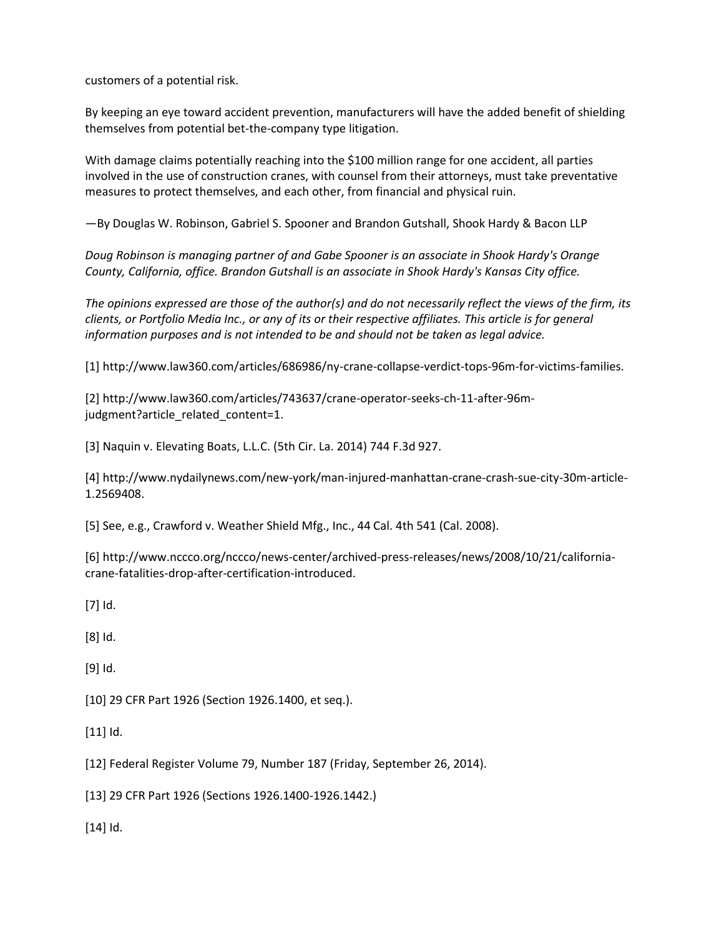customers of a potential risk.

By keeping an eye toward accident prevention, manufacturers will have the added benefit of shielding themselves from potential bet-the-company type litigation.

With damage claims potentially reaching into the \$100 million range for one accident, all parties involved in the use of construction cranes, with counsel from their attorneys, must take preventative measures to protect themselves, and each other, from financial and physical ruin.

—By Douglas W. Robinson, Gabriel S. Spooner and Brandon Gutshall, Shook Hardy & Bacon LLP

*Doug Robinson is managing partner of and Gabe Spooner is an associate in Shook Hardy's Orange County, California, office. Brandon Gutshall is an associate in Shook Hardy's Kansas City office.*

*The opinions expressed are those of the author(s) and do not necessarily reflect the views of the firm, its clients, or Portfolio Media Inc., or any of its or their respective affiliates. This article is for general information purposes and is not intended to be and should not be taken as legal advice.*

[1] http://www.law360.com/articles/686986/ny-crane-collapse-verdict-tops-96m-for-victims-families.

[2] http://www.law360.com/articles/743637/crane-operator-seeks-ch-11-after-96mjudgment?article\_related\_content=1.

[3] Naquin v. Elevating Boats, L.L.C. (5th Cir. La. 2014) 744 F.3d 927.

[4] http://www.nydailynews.com/new-york/man-injured-manhattan-crane-crash-sue-city-30m-article-1.2569408.

[5] See, e.g., Crawford v. Weather Shield Mfg., Inc., 44 Cal. 4th 541 (Cal. 2008).

[6] http://www.nccco.org/nccco/news-center/archived-press-releases/news/2008/10/21/californiacrane-fatalities-drop-after-certification-introduced.

[7] Id.

[8] Id.

[9] Id.

[10] 29 CFR Part 1926 (Section 1926.1400, et seq.).

[11] Id.

[12] Federal Register Volume 79, Number 187 (Friday, September 26, 2014).

[13] 29 CFR Part 1926 (Sections 1926.1400-1926.1442.)

[14] Id.